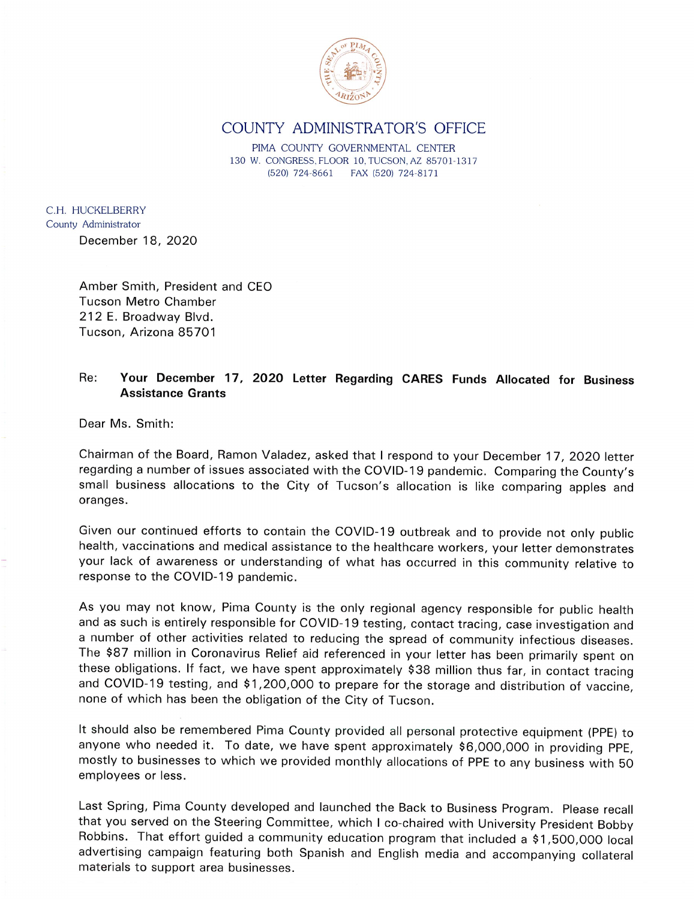

## COUNTY ADMINISTRATOR'S OFFICE

PIMA COUNTY GOVERNMENTAL CENTER 130 W. CONGRESS, FLOOR 10, TUCSON, AZ 85701-1317 (520) 724-8661 FAX (520) 724-8171

C.H. HUCKELBERRY County Administrator December 18, 2020

> Amber Smith, President and CEO **Tucson Metro Chamber** 212 E. Broadway Blvd. Tucson, Arizona 85701

## Your December 17, 2020 Letter Regarding CARES Funds Allocated for Business Re: **Assistance Grants**

Dear Ms. Smith:

Chairman of the Board, Ramon Valadez, asked that I respond to your December 17, 2020 letter regarding a number of issues associated with the COVID-19 pandemic. Comparing the County's small business allocations to the City of Tucson's allocation is like comparing apples and oranges.

Given our continued efforts to contain the COVID-19 outbreak and to provide not only public health, vaccinations and medical assistance to the healthcare workers, your letter demonstrates your lack of awareness or understanding of what has occurred in this community relative to response to the COVID-19 pandemic.

As you may not know, Pima County is the only regional agency responsible for public health and as such is entirely responsible for COVID-19 testing, contact tracing, case investigation and a number of other activities related to reducing the spread of community infectious diseases. The \$87 million in Coronavirus Relief aid referenced in your letter has been primarily spent on these obligations. If fact, we have spent approximately \$38 million thus far, in contact tracing and COVID-19 testing, and \$1,200,000 to prepare for the storage and distribution of vaccine, none of which has been the obligation of the City of Tucson.

It should also be remembered Pima County provided all personal protective equipment (PPE) to anyone who needed it. To date, we have spent approximately \$6,000,000 in providing PPE, mostly to businesses to which we provided monthly allocations of PPE to any business with 50 employees or less.

Last Spring, Pima County developed and launched the Back to Business Program. Please recall that you served on the Steering Committee, which I co-chaired with University President Bobby Robbins. That effort guided a community education program that included a \$1,500,000 local advertising campaign featuring both Spanish and English media and accompanying collateral materials to support area businesses.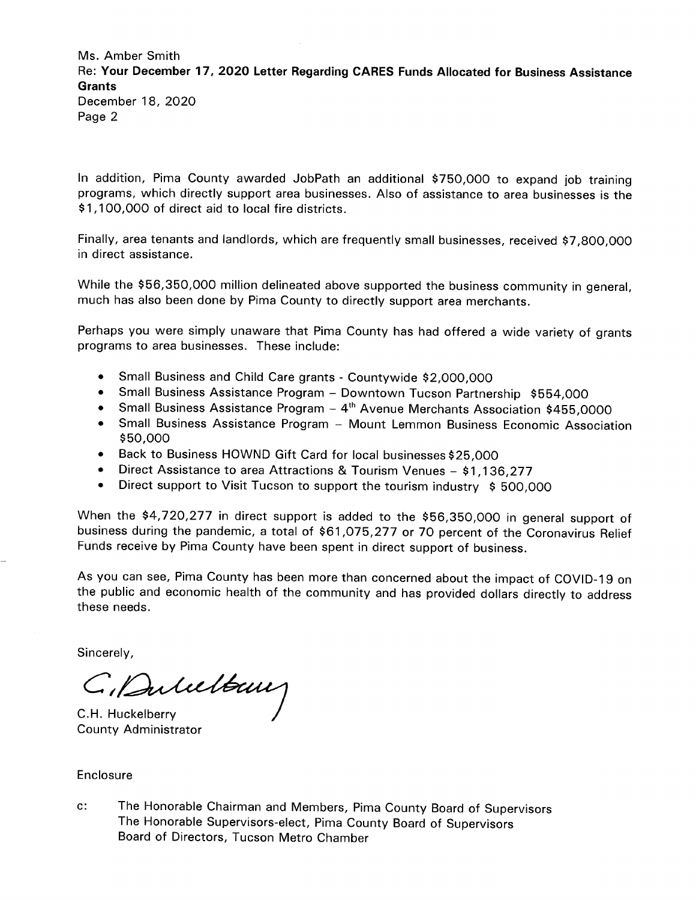Ms. Amber Smith Re: Your December 17, 2020 Letter Regarding CARES Funds Allocated for Business Assistance **Grants** December 18, 2020 Page 2

In addition, Pima County awarded JobPath an additional \$750,000 to expand job training programs, which directly support area businesses. Also of assistance to area businesses is the \$1,100,000 of direct aid to local fire districts.

Finally, area tenants and landlords, which are frequently small businesses, received \$7,800,000 in direct assistance.

While the \$56,350,000 million delineated above supported the business community in general, much has also been done by Pima County to directly support area merchants.

Perhaps you were simply unaware that Pima County has had offered a wide variety of grants programs to area businesses. These include:

- Small Business and Child Care grants Countywide \$2,000,000
- Small Business Assistance Program Downtown Tucson Partnership \$554,000  $\bullet$
- Small Business Assistance Program  $-4$ <sup>th</sup> Avenue Merchants Association \$455,0000
- Small Business Assistance Program Mount Lemmon Business Economic Association \$50,000
- Back to Business HOWND Gift Card for local businesses \$25,000  $\bullet$
- Direct Assistance to area Attractions & Tourism Venues \$1,136,277
- Direct support to Visit Tucson to support the tourism industry \$500,000  $\bullet$

When the \$4,720,277 in direct support is added to the \$56,350,000 in general support of business during the pandemic, a total of \$61,075,277 or 70 percent of the Coronavirus Relief Funds receive by Pima County have been spent in direct support of business.

As you can see, Pima County has been more than concerned about the impact of COVID-19 on the public and economic health of the community and has provided dollars directly to address these needs.

Sincerely,

C, Dubeltaux

C.H. Huckelberry **County Administrator** 

Enclosure

 $\mathbf{c}$ : The Honorable Chairman and Members, Pima County Board of Supervisors The Honorable Supervisors-elect, Pima County Board of Supervisors Board of Directors, Tucson Metro Chamber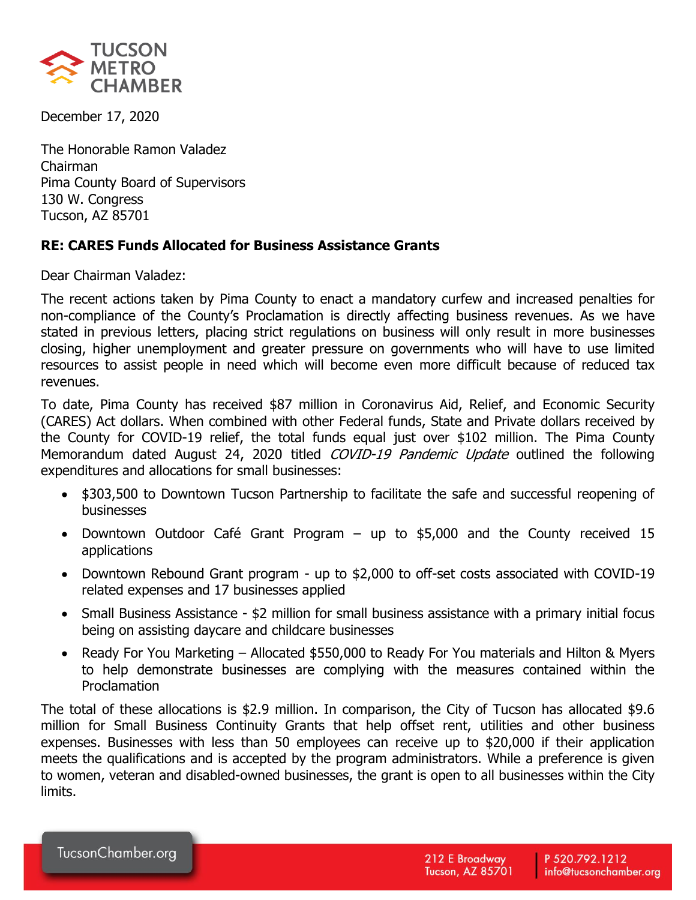

December 17, 2020

The Honorable Ramon Valadez Chairman Pima County Board of Supervisors 130 W. Congress Tucson, AZ 85701

## **RE: CARES Funds Allocated for Business Assistance Grants**

Dear Chairman Valadez:

The recent actions taken by Pima County to enact a mandatory curfew and increased penalties for non-compliance of the County's Proclamation is directly affecting business revenues. As we have stated in previous letters, placing strict regulations on business will only result in more businesses closing, higher unemployment and greater pressure on governments who will have to use limited resources to assist people in need which will become even more difficult because of reduced tax revenues.

To date, Pima County has received \$87 million in Coronavirus Aid, Relief, and Economic Security (CARES) Act dollars. When combined with other Federal funds, State and Private dollars received by the County for COVID-19 relief, the total funds equal just over \$102 million. The Pima County Memorandum dated August 24, 2020 titled *COVID-19 Pandemic Update* outlined the following expenditures and allocations for small businesses:

- \$303,500 to Downtown Tucson Partnership to facilitate the safe and successful reopening of businesses
- Downtown Outdoor Café Grant Program up to \$5,000 and the County received 15 applications
- Downtown Rebound Grant program up to \$2,000 to off-set costs associated with COVID-19 related expenses and 17 businesses applied
- Small Business Assistance \$2 million for small business assistance with a primary initial focus being on assisting daycare and childcare businesses
- Ready For You Marketing Allocated \$550,000 to Ready For You materials and Hilton & Myers to help demonstrate businesses are complying with the measures contained within the Proclamation

The total of these allocations is \$2.9 million. In comparison, the City of Tucson has allocated \$9.6 million for Small Business Continuity Grants that help offset rent, utilities and other business expenses. Businesses with less than 50 employees can receive up to \$20,000 if their application meets the qualifications and is accepted by the program administrators. While a preference is given to women, veteran and disabled-owned businesses, the grant is open to all businesses within the City limits.